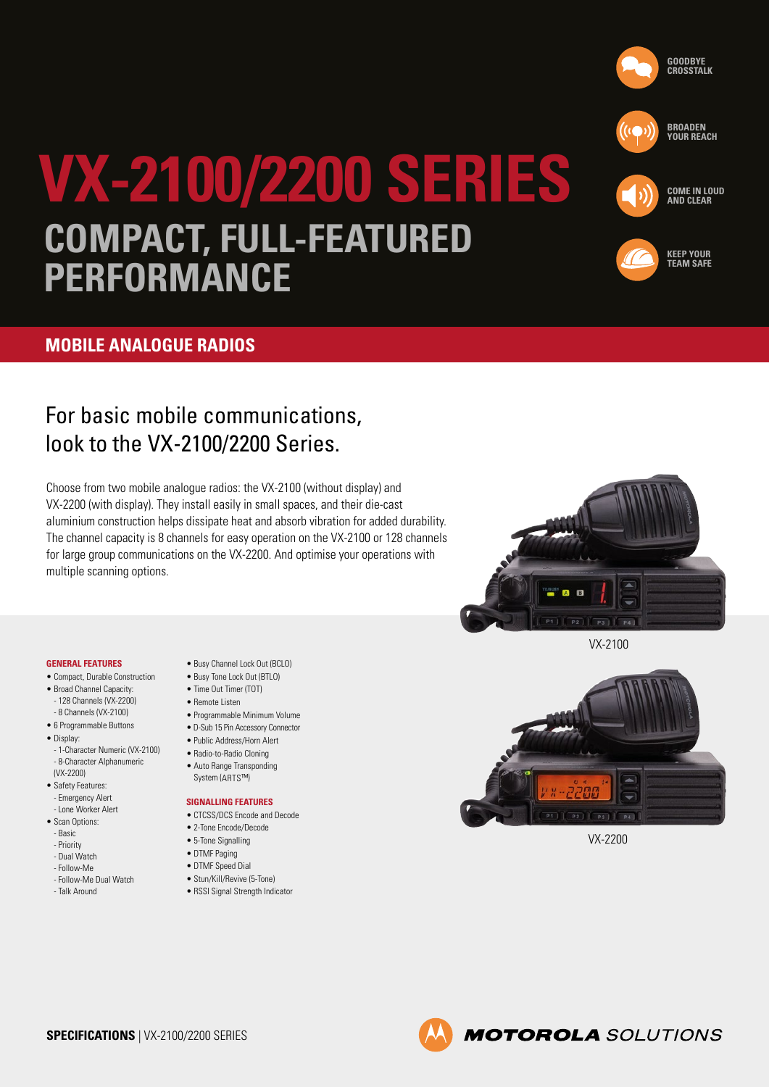



**KEEP YOUR TEAM SAFE**

**COME IN LOUD AND CLEAR** 

# **VX-2100/2200 SERIES COMPACT, FULL-FEATURED PERFORMANCE**

### **MOBILE ANALOGUE RADIOS**

## For basic mobile communications, look to the VX-2100/2200 Series.

Choose from two mobile analogue radios: the VX-2100 (without display) and VX-2200 (with display). They install easily in small spaces, and their die-cast aluminium construction helps dissipate heat and absorb vibration for added durability. The channel capacity is 8 channels for easy operation on the VX-2100 or 128 channels for large group communications on the VX-2200. And optimise your operations with multiple scanning options.

#### **GENERAL FEATURES**

- Compact, Durable Construction
- Broad Channel Capacity: - 128 Channels (VX-2200)
- 8 Channels (VX-2100)
- 6 Programmable Buttons
- Display:
- 1-Character Numeric (VX-2100) - 8-Character Alphanumeric (VX-2200)
- Safety Features: - Emergency Alert
- Lone Worker Alert
- Scan Ontions:
- Basic
- Priority
- Dual Watch
- Follow-Me
- Follow-Me Dual Watch - Talk Around
- Busy Channel Lock Out (BCLO)
	- Busy Tone Lock Out (BTLO) • Time Out Timer (TOT)
	- Remote Listen
	- Programmable Minimum Volume
	- D-Sub 15 Pin Accessory Connector
	- Public Address/Horn Alert
	- Radio-to-Radio Cloning
	- Auto Range Transponding System (ARTS™)

#### **SIGNALLING FEATURES**

- CTCSS/DCS Encode and Decode
- 2-Tone Encode/Decode
- 5-Tone Signalling
- DTMF Paging
- DTMF Speed Dial
- Stun/Kill/Revive (5-Tone)
- RSSI Signal Strength Indicator



VX-2100



VX-2200